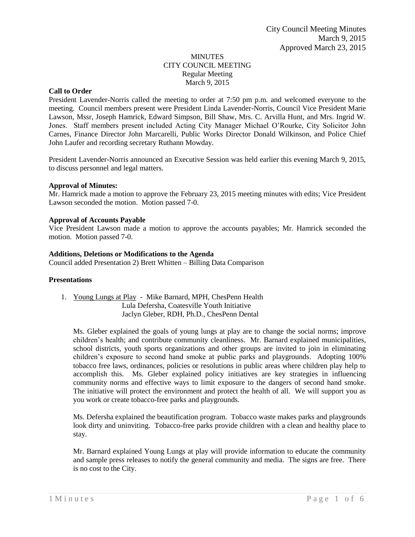#### MINUTES CITY COUNCIL MEETING Regular Meeting March 9, 2015

# **Call to Order**

President Lavender-Norris called the meeting to order at 7:50 pm p.m. and welcomed everyone to the meeting. Council members present were President Linda Lavender-Norris, Council Vice President Marie Lawson, Mssr, Joseph Hamrick, Edward Simpson, Bill Shaw, Mrs. C. Arvilla Hunt, and Mrs. Ingrid W. Jones. Staff members present included Acting City Manager Michael O'Rourke, City Solicitor John Carnes, Finance Director John Marcarelli, Public Works Director Donald Wilkinson, and Police Chief John Laufer and recording secretary Ruthann Mowday.

President Lavender-Norris announced an Executive Session was held earlier this evening March 9, 2015, to discuss personnel and legal matters.

#### **Approval of Minutes:**

Mr. Hamrick made a motion to approve the February 23, 2015 meeting minutes with edits; Vice President Lawson seconded the motion. Motion passed 7-0.

#### **Approval of Accounts Payable**

Vice President Lawson made a motion to approve the accounts payables; Mr. Hamrick seconded the motion. Motion passed 7-0.

#### **Additions, Deletions or Modifications to the Agenda**

Council added Presentation 2) Brett Whitten – Billing Data Comparison

#### **Presentations**

1. Young Lungs at Play - Mike Barnard, MPH, ChesPenn Health Lula Defersha, Coatesville Youth Initiative Jaclyn Gleber, RDH, Ph.D., ChesPenn Dental

Ms. Gleber explained the goals of young lungs at play are to change the social norms; improve children's health; and contribute community cleanliness. Mr. Barnard explained municipalities, school districts, youth sports organizations and other groups are invited to join in eliminating children's exposure to second hand smoke at public parks and playgrounds. Adopting 100% tobacco free laws, ordinances, policies or resolutions in public areas where children play help to accomplish this. Ms. Gleber explained policy initiatives are key strategies in influencing community norms and effective ways to limit exposure to the dangers of second hand smoke. The initiative will protect the environment and protect the health of all. We will support you as you work or create tobacco-free parks and playgrounds.

Ms. Defersha explained the beautification program. Tobacco waste makes parks and playgrounds look dirty and uninviting. Tobacco-free parks provide children with a clean and healthy place to stay.

Mr. Barnard explained Young Lungs at play will provide information to educate the community and sample press releases to notify the general community and media. The signs are free. There is no cost to the City.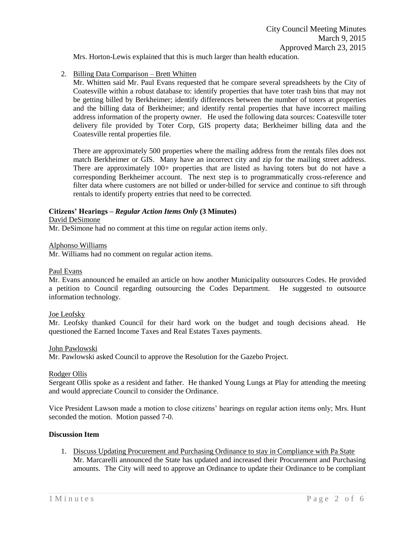Mrs. Horton-Lewis explained that this is much larger than health education.

# 2. Billing Data Comparison – Brett Whitten

Mr. Whitten said Mr. Paul Evans requested that he compare several spreadsheets by the City of Coatesville within a robust database to: identify properties that have toter trash bins that may not be getting billed by Berkheimer; identify differences between the number of toters at properties and the billing data of Berkheimer; and identify rental properties that have incorrect mailing address information of the property owner. He used the following data sources: Coatesville toter delivery file provided by Toter Corp, GIS property data; Berkheimer billing data and the Coatesville rental properties file.

There are approximately 500 properties where the mailing address from the rentals files does not match Berkheimer or GIS. Many have an incorrect city and zip for the mailing street address. There are approximately 100+ properties that are listed as having toters but do not have a corresponding Berkheimer account. The next step is to programmatically cross-reference and filter data where customers are not billed or under-billed for service and continue to sift through rentals to identify property entries that need to be corrected.

# **Citizens' Hearings –** *Regular Action Items Only* **(3 Minutes)**

David DeSimone

Mr. DeSimone had no comment at this time on regular action items only.

Alphonso Williams

Mr. Williams had no comment on regular action items.

#### Paul Evans

Mr. Evans announced he emailed an article on how another Municipality outsources Codes. He provided a petition to Council regarding outsourcing the Codes Department. He suggested to outsource information technology.

# Joe Leofsky

Mr. Leofsky thanked Council for their hard work on the budget and tough decisions ahead. He questioned the Earned Income Taxes and Real Estates Taxes payments.

# John Pawlowski

Mr. Pawlowski asked Council to approve the Resolution for the Gazebo Project.

#### Rodger Ollis

Sergeant Ollis spoke as a resident and father. He thanked Young Lungs at Play for attending the meeting and would appreciate Council to consider the Ordinance.

Vice President Lawson made a motion to close citizens' hearings on regular action items only; Mrs. Hunt seconded the motion. Motion passed 7-0.

# **Discussion Item**

1. Discuss Updating Procurement and Purchasing Ordinance to stay in Compliance with Pa State Mr. Marcarelli announced the State has updated and increased their Procurement and Purchasing amounts. The City will need to approve an Ordinance to update their Ordinance to be compliant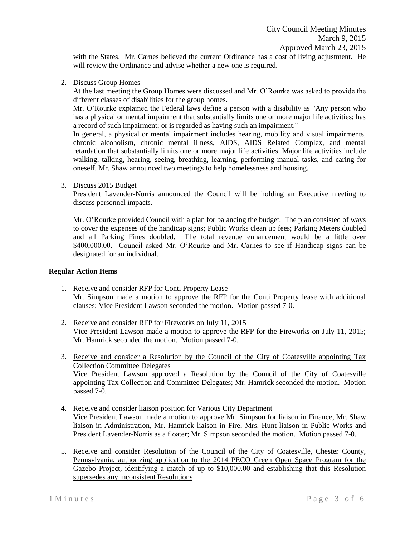with the States. Mr. Carnes believed the current Ordinance has a cost of living adjustment. He will review the Ordinance and advise whether a new one is required.

2. Discuss Group Homes

At the last meeting the Group Homes were discussed and Mr. O'Rourke was asked to provide the different classes of disabilities for the group homes.

Mr. O'Rourke explained the Federal laws define a person with a disability as "Any person who has a physical or mental impairment that substantially limits one or more major life activities; has a record of such impairment; or is regarded as having such an impairment."

In general, a physical or mental impairment includes hearing, mobility and visual impairments, chronic alcoholism, chronic mental illness, AIDS, AIDS Related Complex, and mental retardation that substantially limits one or more major life activities. Major life activities include walking, talking, hearing, seeing, breathing, learning, performing manual tasks, and caring for oneself. Mr. Shaw announced two meetings to help homelessness and housing.

3. Discuss 2015 Budget

President Lavender-Norris announced the Council will be holding an Executive meeting to discuss personnel impacts.

Mr. O'Rourke provided Council with a plan for balancing the budget. The plan consisted of ways to cover the expenses of the handicap signs; Public Works clean up fees; Parking Meters doubled and all Parking Fines doubled. The total revenue enhancement would be a little over \$400,000.00. Council asked Mr. O'Rourke and Mr. Carnes to see if Handicap signs can be designated for an individual.

# **Regular Action Items**

- 1. Receive and consider RFP for Conti Property Lease Mr. Simpson made a motion to approve the RFP for the Conti Property lease with additional clauses; Vice President Lawson seconded the motion. Motion passed 7-0.
- 2. Receive and consider RFP for Fireworks on July 11, 2015 Vice President Lawson made a motion to approve the RFP for the Fireworks on July 11, 2015; Mr. Hamrick seconded the motion. Motion passed 7-0.
- 3. Receive and consider a Resolution by the Council of the City of Coatesville appointing Tax Collection Committee Delegates Vice President Lawson approved a Resolution by the Council of the City of Coatesville appointing Tax Collection and Committee Delegates; Mr. Hamrick seconded the motion. Motion passed 7-0.
- 4. Receive and consider liaison position for Various City Department Vice President Lawson made a motion to approve Mr. Simpson for liaison in Finance, Mr. Shaw liaison in Administration, Mr. Hamrick liaison in Fire, Mrs. Hunt liaison in Public Works and President Lavender-Norris as a floater; Mr. Simpson seconded the motion. Motion passed 7-0.
- 5. Receive and consider Resolution of the Council of the City of Coatesville, Chester County, Pennsylvania, authorizing application to the 2014 PECO Green Open Space Program for the Gazebo Project, identifying a match of up to \$10,000.00 and establishing that this Resolution supersedes any inconsistent Resolutions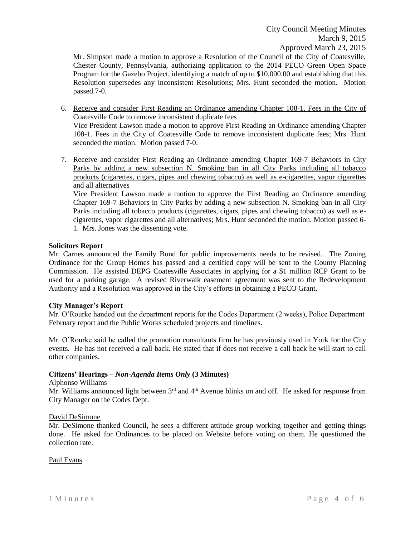Mr. Simpson made a motion to approve a Resolution of the Council of the City of Coatesville, Chester County, Pennsylvania, authorizing application to the 2014 PECO Green Open Space Program for the Gazebo Project, identifying a match of up to \$10,000.00 and establishing that this Resolution supersedes any inconsistent Resolutions; Mrs. Hunt seconded the motion. Motion passed 7-0.

- 6. Receive and consider First Reading an Ordinance amending Chapter 108-1. Fees in the City of Coatesville Code to remove inconsistent duplicate fees Vice President Lawson made a motion to approve First Reading an Ordinance amending Chapter 108-1. Fees in the City of Coatesville Code to remove inconsistent duplicate fees; Mrs. Hunt seconded the motion. Motion passed 7-0.
- 7. Receive and consider First Reading an Ordinance amending Chapter 169-7 Behaviors in City Parks by adding a new subsection N. Smoking ban in all City Parks including all tobacco products (cigarettes, cigars, pipes and chewing tobacco) as well as e-cigarettes, vapor cigarettes and all alternatives

Vice President Lawson made a motion to approve the First Reading an Ordinance amending Chapter 169-7 Behaviors in City Parks by adding a new subsection N. Smoking ban in all City Parks including all tobacco products (cigarettes, cigars, pipes and chewing tobacco) as well as ecigarettes, vapor cigarettes and all alternatives; Mrs. Hunt seconded the motion. Motion passed 6- 1. Mrs. Jones was the dissenting vote.

# **Solicitors Report**

Mr. Carnes announced the Family Bond for public improvements needs to be revised. The Zoning Ordinance for the Group Homes has passed and a certified copy will be sent to the County Planning Commission. He assisted DEPG Coatesville Associates in applying for a \$1 million RCP Grant to be used for a parking garage. A revised Riverwalk easement agreement was sent to the Redevelopment Authority and a Resolution was approved in the City's efforts in obtaining a PECO Grant.

# **City Manager's Report**

Mr. O'Rourke handed out the department reports for the Codes Department (2 weeks), Police Department February report and the Public Works scheduled projects and timelines.

Mr. O'Rourke said he called the promotion consultants firm he has previously used in York for the City events. He has not received a call back. He stated that if does not receive a call back he will start to call other companies.

# **Citizens' Hearings –** *Non-Agenda Items Only* **(3 Minutes)**

# Alphonso Williams

 $\overline{Mr}$ . Williams announced light between 3<sup>rd</sup> and 4<sup>th</sup> Avenue blinks on and off. He asked for response from City Manager on the Codes Dept.

# David DeSimone

Mr. DeSimone thanked Council, he sees a different attitude group working together and getting things done. He asked for Ordinances to be placed on Website before voting on them. He questioned the collection rate.

# Paul Evans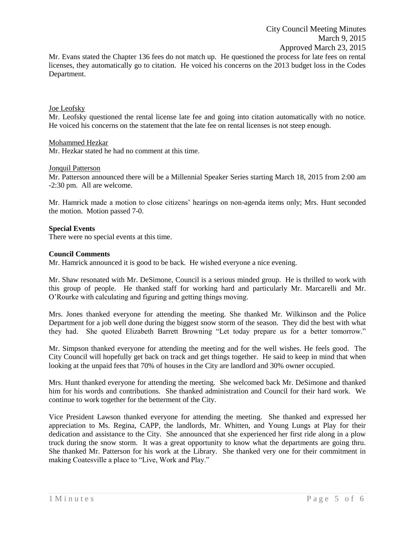Mr. Evans stated the Chapter 136 fees do not match up. He questioned the process for late fees on rental licenses, they automatically go to citation. He voiced his concerns on the 2013 budget loss in the Codes Department.

#### Joe Leofsky

Mr. Leofsky questioned the rental license late fee and going into citation automatically with no notice. He voiced his concerns on the statement that the late fee on rental licenses is not steep enough.

#### Mohammed Hezkar

Mr. Hezkar stated he had no comment at this time.

#### Jonquil Patterson

Mr. Patterson announced there will be a Millennial Speaker Series starting March 18, 2015 from 2:00 am -2:30 pm. All are welcome.

Mr. Hamrick made a motion to close citizens' hearings on non-agenda items only; Mrs. Hunt seconded the motion. Motion passed 7-0.

#### **Special Events**

There were no special events at this time.

#### **Council Comments**

Mr. Hamrick announced it is good to be back. He wished everyone a nice evening.

Mr. Shaw resonated with Mr. DeSimone, Council is a serious minded group. He is thrilled to work with this group of people. He thanked staff for working hard and particularly Mr. Marcarelli and Mr. O'Rourke with calculating and figuring and getting things moving.

Mrs. Jones thanked everyone for attending the meeting. She thanked Mr. Wilkinson and the Police Department for a job well done during the biggest snow storm of the season. They did the best with what they had. She quoted Elizabeth Barrett Browning "Let today prepare us for a better tomorrow."

Mr. Simpson thanked everyone for attending the meeting and for the well wishes. He feels good. The City Council will hopefully get back on track and get things together. He said to keep in mind that when looking at the unpaid fees that 70% of houses in the City are landlord and 30% owner occupied.

Mrs. Hunt thanked everyone for attending the meeting. She welcomed back Mr. DeSimone and thanked him for his words and contributions. She thanked administration and Council for their hard work. We continue to work together for the betterment of the City.

Vice President Lawson thanked everyone for attending the meeting. She thanked and expressed her appreciation to Ms. Regina, CAPP, the landlords, Mr. Whitten, and Young Lungs at Play for their dedication and assistance to the City. She announced that she experienced her first ride along in a plow truck during the snow storm. It was a great opportunity to know what the departments are going thru. She thanked Mr. Patterson for his work at the Library. She thanked very one for their commitment in making Coatesville a place to "Live, Work and Play."